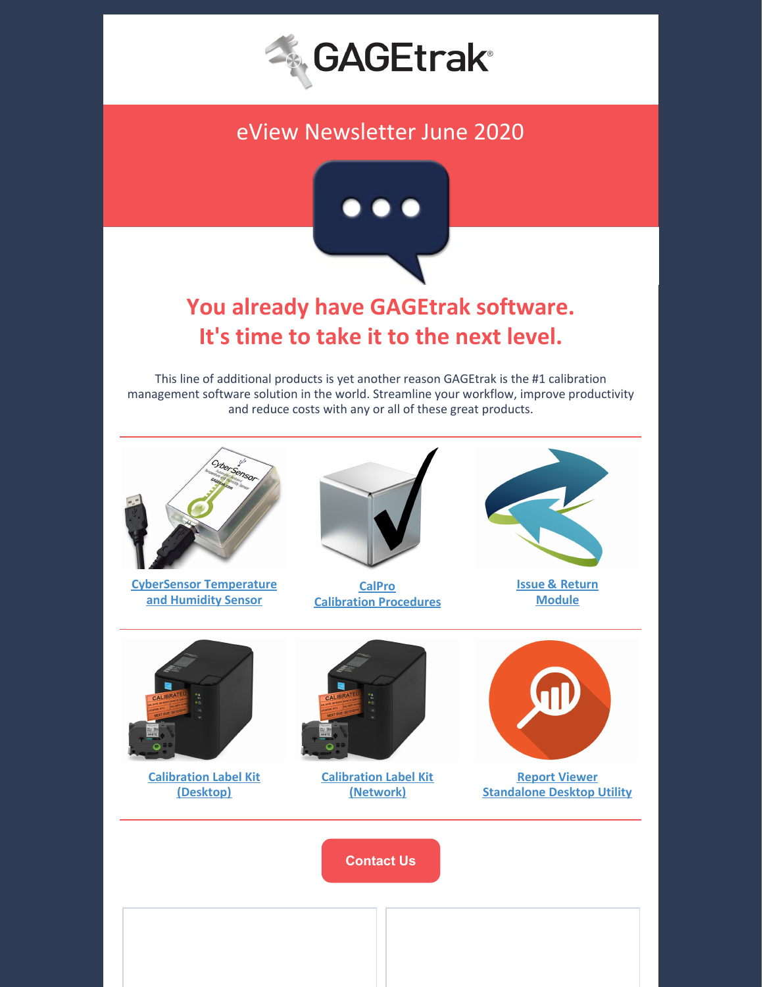

## eView Newsletter June 2020



# **You already have GAGEtrak software. It's time to take it to the next level.**

This line of additional products is yet another reason GAGEtrak is the #1 calibration management software solution in the world. Streamline your workflow, improve productivity and reduce costs with any or all of these great products.



**CyberSensor [Temperature](https://cybermetrics.com/product/cybersensor/) and Humidity Sensor**



**[CalPro](https://cybermetrics.com/product/calpro-v7/) Calibration [Procedures](https://cybermetrics.com/product/calpro-v7/)**



**Issue & [Return](https://cybermetrics.com/product/gagetrak-issue-return-software/) [Module](https://cybermetrics.com/product/gagetrak-issue-return-software/)**



**[Calibration](https://cybermetrics.com/product/pt-p900w-gagetrak/) Label Kit [\(Desktop\)](https://cybermetrics.com/product/pt-p900w-gagetrak/)**



**[Calibration](https://cybermetrics.com/product/pt-p950nw-gagetrak/) Label Kit [\(Network\)](https://cybermetrics.com/product/pt-p950nw-gagetrak/)**



**Report [Viewer](https://cybermetrics.com/product/gagetrak-report-viewer-software/) [Standalone](https://cybermetrics.com/product/gagetrak-report-viewer-software/) Desktop Utility**

**[Contact](https://gagetrak.com/contact-us/) Us**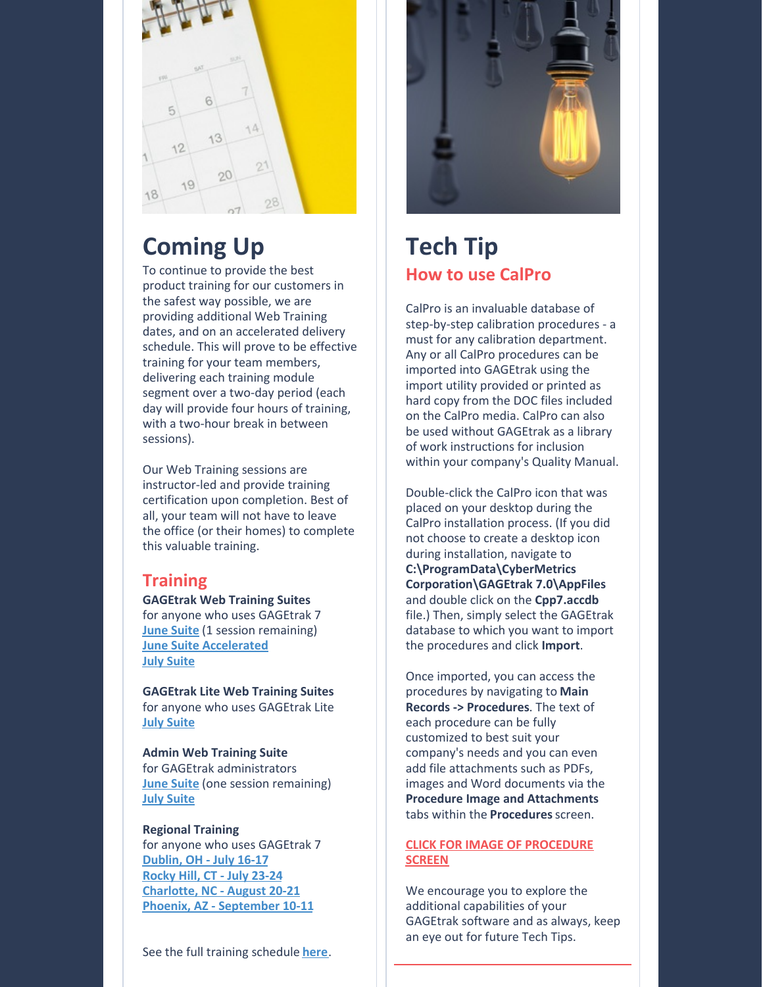

# **Coming Up**

To continue to provide the best product training for our customers in the safest way possible, we are providing additional Web Training dates, and on an accelerated delivery schedule. This will prove to be effective training for your team members, delivering each training module segment over a two-day period (each day will provide four hours of training, with a two-hour break in between sessions).

Our Web Training sessions are instructor-led and provide training certification upon completion. Best of all, your team will not have to leave the office (or their homes) to complete this valuable training.

#### **Training**

**GAGEtrak Web Training Suites** for anyone who uses GAGEtrak 7 **June [Suite](https://gagetrak.com/wp-content/uploads/GAGEtrak_Web_Training_Suite_June_2020.pdf)** (1 session remaining) **June Suite [Accelerated](https://gagetrak.com/wp-content/uploads/GAGEtrak_Web_Training_Suite_June_2020_Accelerated.pdf) July [Suite](https://gagetrak.com/wp-content/uploads/GAGEtrak_Web_Training_Suite_July_2020.pdf)**

**GAGEtrak Lite Web Training Suites** for anyone who uses GAGEtrak Lite **July [Suite](https://gagetrak.com/wp-content/uploads/GAGEtrak_Lite_Web_Training_Suite_July_2020.pdf)**

**Admin Web Training Suite** for GAGEtrak administrators **June [Suite](https://gagetrak.com/wp-content/uploads/GAGEtrak_Admin_Web_Training_Suite_June_2020.pdf)** (one session remaining) **July [Suite](https://gagetrak.com/wp-content/uploads/GAGEtrak_Admin_Web_Training_Suite_July_2020.pdf)**

#### **Regional Training** for anyone who uses GAGEtrak 7 **[Dublin,](https://gagetrak.com/wp-content/uploads/GAGEtrak_Training_Dublin_v7_July_2020.pdf) OH - July 16-17 [Rocky](https://gagetrak.com/wp-content/uploads/GAGEtrak_Training_RockyHill_v7_July_2020.pdf) Hill, CT - July 23-24 [Charlotte,](https://gagetrak.com/wp-content/uploads/GAGEtrak_Training_Charlotte_v7_August_2020.pdf) NC - August 20-21 Phoenix, AZ - [September](https://gagetrak.com/wp-content/uploads/GAGEtrak_Training_Phoenix_v7_September_2020.pdf) 10-11**

See the full training schedule **[here](https://gagetrak.com/training-schedule/)**.



## **Tech Tip How to use CalPro**

CalPro is an invaluable database of step-by-step calibration procedures - a must for any calibration department. Any or all CalPro procedures can be imported into GAGEtrak using the import utility provided or printed as hard copy from the DOC files included on the CalPro media. CalPro can also be used without GAGEtrak as a library of work instructions for inclusion within your company's Quality Manual.

Double-click the CalPro icon that was placed on your desktop during the CalPro installation process. (If you did not choose to create a desktop icon during installation, navigate to **C:\ProgramData\CyberMetrics Corporation\GAGEtrak 7.0\AppFiles** and double click on the **Cpp7.accdb** file.) Then, simply select the GAGEtrak database to which you want to import the procedures and click **Import**.

Once imported, you can access the procedures by navigating to **Main Records -> Procedures**. The text of each procedure can be fully customized to best suit your company's needs and you can even add file attachments such as PDFs, images and Word documents via the **Procedure Image and Attachments** tabs within the **Procedures**screen.

#### **CLICK FOR IMAGE OF [PROCEDURE](https://gagetrak.com/wp-content/uploads/screenshot_gt7_enlarge_procedures.png) SCREEN**

We encourage you to explore the additional capabilities of your GAGEtrak software and as always, keep an eye out for future Tech Tips.